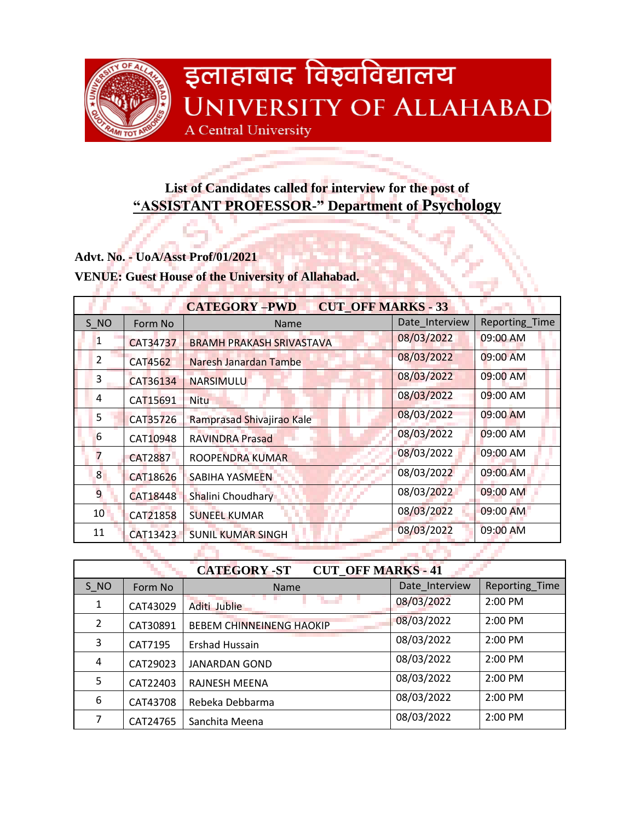

## इलाहाबाद विश्वविद्यालय **UNIVERSITY OF ALLAHABAD** A Central University

## **List of Candidates called for interview for the post of "ASSISTANT PROFESSOR-" Department of Psychology**

**Advt. No. - UoA/Asst Prof/01/2021**

**VENUE: Guest House of the University of Allahabad.**

| <b>CUT OFF MARKS - 33</b><br><b>CATEGORY-PWD</b> |                |                                 |                |                |
|--------------------------------------------------|----------------|---------------------------------|----------------|----------------|
| S NO                                             | Form No        | Name                            | Date Interview | Reporting_Time |
| 1                                                | CAT34737       | <b>BRAMH PRAKASH SRIVASTAVA</b> | 08/03/2022     | 09:00 AM       |
| 2                                                | CAT4562        | Naresh Janardan Tambe           | 08/03/2022     | 09:00 AM       |
| 3                                                | CAT36134       | NARSIMULU                       | 08/03/2022     | 09:00 AM       |
| 4                                                | CAT15691       | <b>Nitu</b>                     | 08/03/2022     | $09:00$ AM     |
| 5                                                | CAT35726       | Ramprasad Shivajirao Kale       | 08/03/2022     | 09:00 AM       |
| 6                                                | CAT10948       | <b>RAVINDRA Prasad</b>          | 08/03/2022     | $09:00$ AM     |
| 7                                                | <b>CAT2887</b> | ROOPENDRA KUMAR                 | 08/03/2022     | 09:00 AM       |
| 8 <sub>1</sub>                                   | CAT18626       | <b>SABIHA YASMEEN</b>           | 08/03/2022     | 09:00 AM       |
| 9                                                | CAT18448       | Shalini Choudhary               | 08/03/2022     | 09:00 AM       |
| 10 <sup>1</sup>                                  | CAT21858       | <b>SUNEEL KUMAR</b>             | 08/03/2022     | 09:00 AM       |
| 11                                               | CAT13423       | <b>SUNIL KUMAR SINGH</b>        | 08/03/2022     | 09:00 AM       |
|                                                  |                |                                 |                |                |

| <b>CUT OFF MARKS - 41</b><br><b>CATEGORY-ST</b> |          |                                 |                |                |
|-------------------------------------------------|----------|---------------------------------|----------------|----------------|
| S NO                                            | Form No  | <b>Name</b>                     | Date Interview | Reporting_Time |
| 1                                               | CAT43029 | Aditi Jublie                    | 08/03/2022     | 2:00 PM        |
| $\overline{2}$                                  | CAT30891 | <b>BEBEM CHINNEINENG HAOKIP</b> | 08/03/2022     | $2:00$ PM      |
| 3                                               | CAT7195  | <b>Ershad Hussain</b>           | 08/03/2022     | $2:00$ PM      |
| 4                                               | CAT29023 | <b>JANARDAN GOND</b>            | 08/03/2022     | 2:00 PM        |
| 5                                               | CAT22403 | <b>RAJNESH MEENA</b>            | 08/03/2022     | 2:00 PM        |
| 6                                               | CAT43708 | Rebeka Debbarma                 | 08/03/2022     | $2:00$ PM      |
| 7                                               | CAT24765 | Sanchita Meena                  | 08/03/2022     | $2:00$ PM      |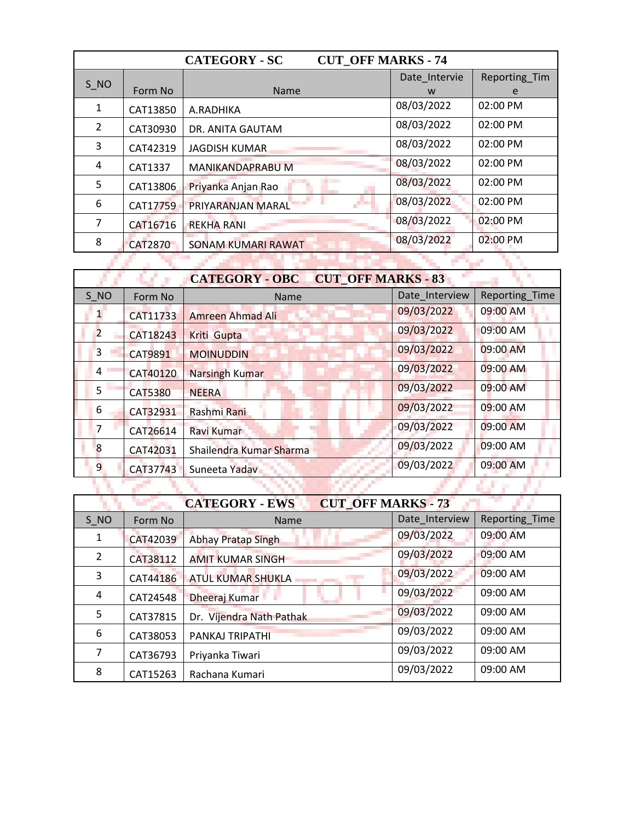| <b>CUT OFF MARKS - 74</b><br><b>CATEGORY - SC</b> |                |                           |               |               |
|---------------------------------------------------|----------------|---------------------------|---------------|---------------|
| S NO                                              |                |                           | Date Intervie | Reporting Tim |
|                                                   | Form No        | <b>Name</b>               | W             | e             |
| 1                                                 | CAT13850       | A.RADHIKA                 | 08/03/2022    | 02:00 PM      |
| 2                                                 | CAT30930       | DR. ANITA GAUTAM          | 08/03/2022    | 02:00 PM      |
| 3                                                 | CAT42319       | <b>JAGDISH KUMAR</b>      | 08/03/2022    | 02:00 PM      |
| 4                                                 | CAT1337        | MANIKANDAPRABU M          | 08/03/2022    | 02:00 PM      |
| 5                                                 | CAT13806       | Priyanka Anjan Rao        | 08/03/2022    | 02:00 PM      |
| 6                                                 | CAT17759       | PRIYARANJAN MARAL         | 08/03/2022    | 02:00 PM      |
| 7                                                 | CAT16716       | <b>REKHA RANI</b>         | 08/03/2022    | 02:00 PM      |
| 8                                                 | <b>CAT2870</b> | <b>SONAM KUMARI RAWAT</b> | 08/03/2022    | $02:00$ PM    |
|                                                   |                |                           |               |               |

| <b>CUT OFF MARKS - 83</b><br><b>CATEGORY - OBC</b> |                 |                         |                |                       |
|----------------------------------------------------|-----------------|-------------------------|----------------|-----------------------|
| S NO                                               | Form No         | Name                    | Date Interview | <b>Reporting Time</b> |
|                                                    | CAT11733        | Amreen Ahmad Ali        | 09/03/2022     | 09:00 AM              |
| $\overline{2}$                                     | CAT18243        | Kriti Gupta             | 09/03/2022     | 09:00 AM              |
| 3                                                  | <b>CAT9891</b>  | <b>MOINUDDIN</b>        | 09/03/2022     | 09:00 AM              |
| 4                                                  | <b>CAT40120</b> | <b>Narsingh Kumar</b>   | 09/03/2022     | 09:00 AM              |
| 5                                                  | <b>CAT5380</b>  | <b>NEERA</b>            | 09/03/2022     | 09:00 AM              |
| 6                                                  | CAT32931        | Rashmi Rani             | 09/03/2022     | 09:00 AM              |
| 7                                                  | CAT26614        | Ravi Kumar              | 09/03/2022     | 09:00 AM              |
| 8                                                  | CAT42031        | Shailendra Kumar Sharma | 09/03/2022     | 09:00 AM              |
| 9                                                  | CAT37743        | Suneeta Yadav           | 09/03/2022     | 09:00 AM              |
|                                                    |                 |                         |                |                       |

| <b>CUT OFF MARKS - 73</b><br><b>CATEGORY - EWS</b> |          |                           |                |                |
|----------------------------------------------------|----------|---------------------------|----------------|----------------|
| S NO                                               | Form No  | <b>Name</b>               | Date Interview | Reporting_Time |
| 1                                                  | CAT42039 | <b>Abhay Pratap Singh</b> | 09/03/2022     | 09:00 AM       |
| 2                                                  | CAT38112 | <b>AMIT KUMAR SINGH</b>   | 09/03/2022     | 09:00 AM       |
| 3                                                  | CAT44186 | <b>ATUL KUMAR SHUKLA</b>  | 09/03/2022     | 09:00 AM       |
| 4                                                  | CAT24548 | Dheeraj Kumar             | 09/03/2022     | 09:00 AM       |
| 5                                                  | CAT37815 | Dr. Vijendra Nath Pathak  | 09/03/2022     | 09:00 AM       |
| 6                                                  | CAT38053 | PANKAJ TRIPATHI           | 09/03/2022     | 09:00 AM       |
| 7                                                  | CAT36793 | Priyanka Tiwari           | 09/03/2022     | 09:00 AM       |
| 8                                                  | CAT15263 | Rachana Kumari            | 09/03/2022     | 09:00 AM       |